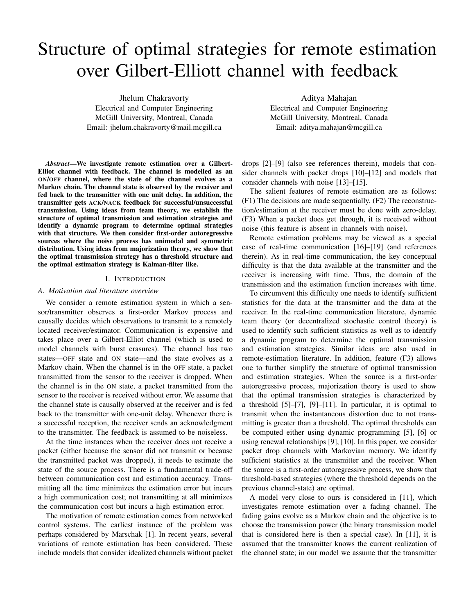# Structure of optimal strategies for remote estimation over Gilbert-Elliott channel with feedback

Jhelum Chakravorty Electrical and Computer Engineering McGill University, Montreal, Canada Email: jhelum.chakravorty@mail.mcgill.ca

Aditya Mahajan Electrical and Computer Engineering McGill University, Montreal, Canada Email: aditya.mahajan@mcgill.ca

*Abstract*—We investigate remote estimation over a Gilbert-Elliot channel with feedback. The channel is modelled as an ON/OFF channel, where the state of the channel evolves as a Markov chain. The channel state is observed by the receiver and fed back to the transmitter with one unit delay. In addition, the transmitter gets ACK/NACK feedback for successful/unsuccessful transmission. Using ideas from team theory, we establish the structure of optimal transmission and estimation strategies and identify a dynamic program to determine optimal strategies with that structure. We then consider first-order autoregressive sources where the noise process has unimodal and symmetric distribution. Using ideas from majorization theory, we show that the optimal transmission strategy has a threshold structure and the optimal estimation strategy is Kalman-filter like.

#### I. INTRODUCTION

## *A. Motivation and literature overview*

We consider a remote estimation system in which a sensor/transmitter observes a first-order Markov process and causally decides which observations to transmit to a remotely located receiver/estimator. Communication is expensive and takes place over a Gilbert-Elliot channel (which is used to model channels with burst erasures). The channel has two states—OFF state and ON state—and the state evolves as a Markov chain. When the channel is in the OFF state, a packet transmitted from the sensor to the receiver is dropped. When the channel is in the ON state, a packet transmitted from the sensor to the receiver is received without error. We assume that the channel state is causally observed at the receiver and is fed back to the transmitter with one-unit delay. Whenever there is a successful reception, the receiver sends an acknowledgment to the transmitter. The feedback is assumed to be noiseless.

At the time instances when the receiver does not receive a packet (either because the sensor did not transmit or because the transmitted packet was dropped), it needs to estimate the state of the source process. There is a fundamental trade-off between communication cost and estimation accuracy. Transmitting all the time minimizes the estimation error but incurs a high communication cost; not transmitting at all minimizes the communication cost but incurs a high estimation error.

The motivation of remote estimation comes from networked control systems. The earliest instance of the problem was perhaps considered by Marschak [1]. In recent years, several variations of remote estimation has been considered. These include models that consider idealized channels without packet drops [2]–[9] (also see references therein), models that consider channels with packet drops [10]–[12] and models that consider channels with noise [13]–[15].

The salient features of remote estimation are as follows: (F1) The decisions are made sequentially. (F2) The reconstruction/estimation at the receiver must be done with zero-delay. (F3) When a packet does get through, it is received without noise (this feature is absent in channels with noise).

Remote estimation problems may be viewed as a special case of real-time communication [16]–[19] (and references therein). As in real-time communication, the key conceptual difficulty is that the data available at the transmitter and the receiver is increasing with time. Thus, the domain of the transmission and the estimation function increases with time.

To circumvent this difficulty one needs to identify sufficient statistics for the data at the transmitter and the data at the receiver. In the real-time communication literature, dynamic team theory (or decentralized stochastic control theory) is used to identify such sufficient statistics as well as to identify a dynamic program to determine the optimal transmission and estimation strategies. Similar ideas are also used in remote-estimation literature. In addition, feature (F3) allows one to further simplify the structure of optimal transmission and estimation strategies. When the source is a first-order autoregressive process, majorization theory is used to show that the optimal transmission strategies is characterized by a threshold  $[5]$ – $[7]$ ,  $[9]$ – $[11]$ . In particular, it is optimal to transmit when the instantaneous distortion due to not transmitting is greater than a threshold. The optimal thresholds can be computed either using dynamic programming [5], [6] or using renewal relationships [9], [10]. In this paper, we consider packet drop channels with Markovian memory. We identify sufficient statistics at the transmitter and the receiver. When the source is a first-order autoregressive process, we show that threshold-based strategies (where the threshold depends on the previous channel-state) are optimal.

A model very close to ours is considered in [11], which investigates remote estimation over a fading channel. The fading gains evolve as a Markov chain and the objective is to choose the transmission power (the binary transmission model that is considered here is then a special case). In [11], it is assumed that the transmitter knows the current realization of the channel state; in our model we assume that the transmitter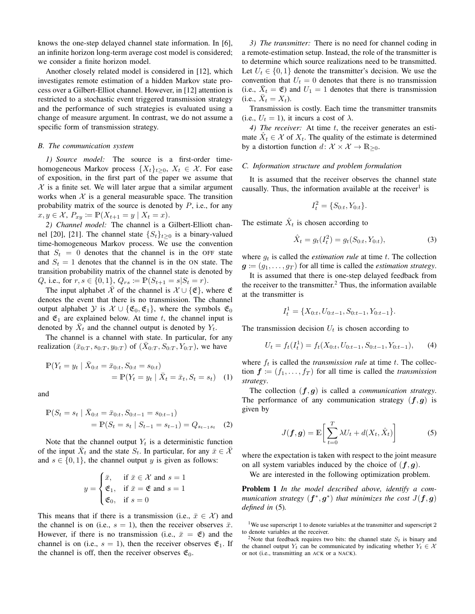knows the one-step delayed channel state information. In [6], an infinite horizon long-term average cost model is considered; we consider a finite horizon model.

Another closely related model is considered in [12], which investigates remote estimation of a hidden Markov state process over a Gilbert-Elliot channel. However, in [12] attention is restricted to a stochastic event triggered transmission strategy and the performance of such strategies is evaluated using a change of measure argument. In contrast, we do not assume a specific form of transmission strategy.

## *B. The communication system*

*1) Source model:* The source is a first-order timehomogeneous Markov process  $\{X_t\}_{t>0}$ ,  $X_t \in \mathcal{X}$ . For ease of exposition, in the first part of the paper we assume that  $X$  is a finite set. We will later argue that a similar argument works when  $X$  is a general measurable space. The transition probability matrix of the source is denoted by  $P$ , i.e., for any  $x, y \in \mathcal{X}, P_{xy} \coloneqq \mathbb{P}(X_{t+1} = y \mid X_t = x).$ 

*2) Channel model:* The channel is a Gilbert-Elliott channel [20], [21]. The channel state  $\{S_t\}_{t>0}$  is a binary-valued time-homogeneous Markov process. We use the convention that  $S_t = 0$  denotes that the channel is in the OFF state and  $S_t = 1$  denotes that the channel is in the ON state. The transition probability matrix of the channel state is denoted by Q, i.e., for  $r, s \in \{0, 1\}$ ,  $Q_{rs} \coloneqq \mathbb{P}(S_{t+1} = s | S_t = r)$ .

The input alphabet  $\overline{X}$  of the channel is  $X \cup {\mathcal{E}}$ , where  $\mathfrak E$ denotes the event that there is no transmission. The channel output alphabet  $\mathcal{Y}$  is  $\mathcal{X} \cup \{\mathfrak{E}_0, \mathfrak{E}_1\}$ , where the symbols  $\mathfrak{E}_0$ and  $\mathfrak{E}_1$  are explained below. At time t, the channel input is denoted by  $\bar{X}_t$  and the channel output is denoted by  $Y_t$ .

The channel is a channel with state. In particular, for any realization  $(\bar{x}_{0:T}, s_{0:T}, y_{0:T})$  of  $(\bar{X}_{0:T}, S_{0:T}, Y_{0:T})$ , we have

$$
\mathbb{P}(Y_t = y_t | \bar{X}_{0:t} = \bar{x}_{0:t}, S_{0:t} = s_{0:t})
$$
  
= 
$$
\mathbb{P}(Y_t = y_t | \bar{X}_t = \bar{x}_t, S_t = s_t)
$$
 (1)

and

$$
\mathbb{P}(S_t = s_t | \bar{X}_{0:t} = \bar{x}_{0:t}, S_{0:t-1} = s_{0:t-1})
$$
  
= 
$$
\mathbb{P}(S_t = s_t | S_{t-1} = s_{t-1}) = Q_{s_{t-1}s_t}
$$
 (2)

Note that the channel output  $Y_t$  is a deterministic function of the input  $\bar{X}_t$  and the state  $S_t$ . In particular, for any  $\bar{x} \in \bar{\mathcal{X}}$ and  $s \in \{0, 1\}$ , the channel output y is given as follows:

$$
y = \begin{cases} \bar{x}, & \text{if } \bar{x} \in \mathcal{X} \text{ and } s = 1\\ \mathfrak{E}_1, & \text{if } \bar{x} = \mathfrak{E} \text{ and } s = 1\\ \mathfrak{E}_0, & \text{if } s = 0 \end{cases}
$$

This means that if there is a transmission (i.e.,  $\bar{x} \in \mathcal{X}$ ) and the channel is on (i.e.,  $s = 1$ ), then the receiver observes  $\bar{x}$ . However, if there is no transmission (i.e.,  $\bar{x} = \mathfrak{E}$ ) and the channel is on (i.e.,  $s = 1$ ), then the receiver observes  $\mathfrak{E}_1$ . If the channel is off, then the receiver observes  $\mathfrak{E}_0$ .

*3) The transmitter:* There is no need for channel coding in a remote-estimation setup. Instead, the role of the transmitter is to determine which source realizations need to be transmitted. Let  $U_t \in \{0, 1\}$  denote the transmitter's decision. We use the convention that  $U_t = 0$  denotes that there is no transmission (i.e.,  $\bar{X}_t = \mathfrak{E}$ ) and  $U_1 = 1$  denotes that there is transmission (i.e.,  $\bar{X}_t = X_t$ ).

Transmission is costly. Each time the transmitter transmits (i.e.,  $U_t = 1$ ), it incurs a cost of  $\lambda$ .

4) The receiver: At time t, the receiver generates an estimate  $\hat{X}_t \in \mathcal{X}$  of  $X_t$ . The quality of the estimate is determined by a distortion function  $d: \mathcal{X} \times \mathcal{X} \to \mathbb{R}_{\geq 0}$ .

## *C. Information structure and problem formulation*

It is assumed that the receiver observes the channel state causally. Thus, the information available at the receiver<sup>1</sup> is

$$
I_t^2 = \{S_{0:t}, Y_{0:t}\}.
$$

The estimate  $\hat{X}_t$  is chosen according to

$$
\hat{X}_t = g_t(I_t^2) = g_t(S_{0:t}, Y_{0:t}),
$$
\n(3)

where  $g_t$  is called the *estimation rule* at time t. The collection  $g \coloneqq (g_1, \ldots, g_T)$  for all time is called the *estimation strategy*.

It is assumed that there is one-step delayed feedback from the receiver to the transmitter. $<sup>2</sup>$  Thus, the information available</sup> at the transmitter is

$$
I_t^1 = \{X_{0:t}, U_{0:t-1}, S_{0:t-1}, Y_{0:t-1}\}.
$$

The transmission decision  $U_t$  is chosen according to

$$
U_t = f_t(I_t^1) = f_t(X_{0:t}, U_{0:t-1}, S_{0:t-1}, Y_{0:t-1}),
$$
 (4)

where  $f_t$  is called the *transmission rule* at time  $t$ . The collection  $f = (f_1, \ldots, f_T)$  for all time is called the *transmission strategy*.

The collection (f, g) is called a *communication strategy*. The performance of any communication strategy  $(f, g)$  is given by

$$
J(\boldsymbol{f}, \boldsymbol{g}) = \mathbb{E}\bigg[\sum_{t=0}^{T} \lambda U_t + d(X_t, \hat{X}_t)\bigg]
$$
(5)

where the expectation is taken with respect to the joint measure on all system variables induced by the choice of  $(f, g)$ .

We are interested in the following optimization problem.

Problem 1 *In the model described above, identify a communication strategy*  $(f^*, g^*)$  *that minimizes the cost*  $J(f, g)$ *defined in* (5)*.*

<sup>1</sup>We use superscript 1 to denote variables at the transmitter and superscript 2 to denote variables at the receiver.

<sup>&</sup>lt;sup>2</sup>Note that feedback requires two bits: the channel state  $S_t$  is binary and the channel output  $Y_t$  can be communicated by indicating whether  $Y_t \in \mathcal{X}$ or not (i.e., transmitting an ACK or a NACK).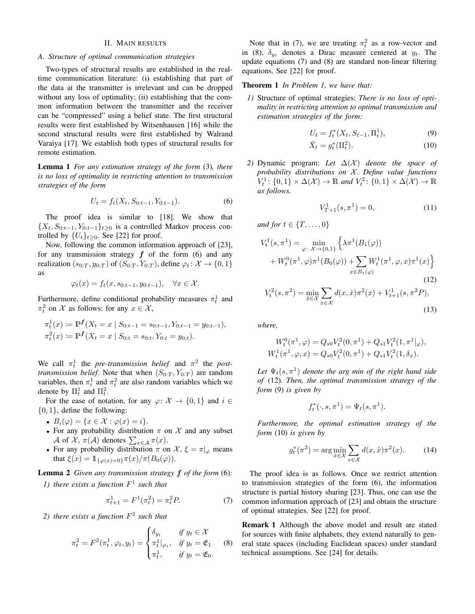## II. MAIN RESULTS

#### *A. Structure of optimal communication strategies*

Two-types of structural results are established in the realtime communication literature: (i) establishing that part of the data at the transmitter is irrelevant and can be dropped without any loss of optimality; (ii) establishing that the common information between the transmitter and the receiver can be "compressed" using a belief state. The first structural results were first established by Witsenhausen [16] while the second structural results were first established by Walrand Varaiya [17]. We establish both types of structural results for remote estimation.

Lemma 1 *For any estimation strategy of the form* (3)*, there is no loss of optimality in restricting attention to transmission strategies of the form*

$$
U_t = f_t(X_t, S_{0:t-1}, Y_{0:t-1}).
$$
\n(6)

The proof idea is similar to [18]. We show that  $\{X_t, S_{0:t-1}, Y_{0:t-1}\}_{t\geq 0}$  is a controlled Markov process controlled by  $\{U_t\}_{t>0}$ . See [22] for proof.

Now, following the common information approach of [23], for any transmission strategy  $f$  of the form (6) and any realization  $(s_{0:T}, y_{0:T})$  of  $(S_{0:T}, Y_{0:T})$ , define  $\varphi_t : \mathcal{X} \to \{0, 1\}$ as

$$
\varphi_t(x) = f_t(x, s_{0:t-1}, y_{0:t-1}), \quad \forall x \in \mathcal{X}.
$$

Furthermore, define conditional probability measures  $\pi_t^1$  and  $\pi_t^2$  on X as follows: for any  $x \in \mathcal{X}$ ,

$$
\pi_t^1(x) := \mathbb{P}^f(X_t = x \mid S_{0:t-1} = s_{0:t-1}, Y_{0:t-1} = y_{0:t-1}),
$$
  

$$
\pi_t^2(x) := \mathbb{P}^f(X_t = x \mid S_{0:t} = s_{0:t}, Y_{0:t} = y_{0:t}).
$$

We call  $\pi_t^1$  the *pre-transmission belief* and  $\pi^2$  the *posttransmission belief*. Note that when  $(S_{0:T}, Y_{0:T})$  are random variables, then  $\pi_t^1$  and  $\pi_t^2$  are also random variables which we denote by  $\Pi_t^1$  and  $\Pi_t^2$ .

For the ease of notation, for any  $\varphi: \mathcal{X} \to \{0, 1\}$  and  $i \in$  $\{0, 1\}$ , define the following:

- $B_i(\varphi) = \{x \in \mathcal{X} : \varphi(x) = i\}.$
- For any probability distribution  $\pi$  on  $\mathcal X$  and any subset A of X,  $\pi(\mathcal{A})$  denotes  $\sum_{x \in \mathcal{A}} \pi(x)$ .
- For any probability distribution  $\pi$  on  $\mathcal{X}, \xi = \pi|_{\varphi}$  means that  $\xi(x) = \mathbb{1}_{\{\varphi(x)=0\}} \pi(x)/\pi(B_0(\varphi)).$

Lemma 2 *Given any transmission strategy* f *of the form* (6)*: 1) there exists a function* F 1 *such that*

$$
\pi_{t+1}^1 = F^1(\pi_t^2) = \pi_t^2 P. \tag{7}
$$

*2) there exists a function* F 2 *such that*

$$
\pi_t^2 = F^2(\pi_t^1, \varphi_t, y_t) = \begin{cases} \delta_{y_t} & \text{if } y_t \in \mathcal{X} \\ \pi_t^1 \mid_{\varphi_t}, & \text{if } y_t = \mathfrak{E}_1 \\ \pi_t^1, & \text{if } y_t = \mathfrak{E}_0. \end{cases} \tag{8}
$$

Note that in (7), we are treating  $\pi_t^2$  as a row-vector and in (8),  $\delta_{y_t}$  denotes a Dirac measure centered at  $y_t$ . The update equations (7) and (8) are standard non-linear filtering equations. See [22] for proof.

## Theorem 1 *In Problem 1, we have that:*

*1)* Structure of optimal strategies: *There is no loss of optimality in restricting attention to optimal transmission and estimation strategies of the form:*

$$
U_t = f_t^*(X_t, S_{t-1}, \Pi_t^1), \tag{9}
$$

$$
\hat{X}_t = g_t^*(\Pi_t^2). \tag{10}
$$

*2)* Dynamic program: Let  $\Delta(X)$  denote the space of *probability distributions on X. Define value functions*  $V_t^1$ : {0, 1} ×  $\Delta(\mathcal{X}) \to \mathbb{R}$  and  $V_t^2$ : {0, 1} ×  $\Delta(\mathcal{X}) \to \mathbb{R}$ *as follows.*

$$
V_{T+1}^1(s, \pi^1) = 0,\t(11)
$$

*and for*  $t \in \{T, \ldots, 0\}$ 

$$
V_t^1(s, \pi^1) = \min_{\varphi \colon \mathcal{X} \to \{0, 1\}} \left\{ \lambda \pi^1(B_1(\varphi)) + W_t^0(\pi^1, \varphi) \pi^1(B_0(\varphi)) + \sum_{x \in B_1(\varphi)} W_t^1(\pi^1, \varphi, x) \pi^1(x) \right\}
$$
(12)

$$
V_t^2(s, \pi^2) = \min_{\hat{x} \in \mathcal{X}} \sum_{x \in \mathcal{X}} d(x, \hat{x}) \pi^2(x) + V_{t+1}^1(s, \pi^2 P),
$$
\n(13)

*where,*

$$
W_t^0(\pi^1, \varphi) = Q_{s0} V_t^2(0, \pi^1) + Q_{s1} V_t^2(1, \pi^1 |_{\varphi}),
$$
  

$$
W_t^1(\pi^1, \varphi, x) = Q_{s0} V_t^2(0, \pi^1) + Q_{s1} V_t^2(1, \delta_x).
$$

Let  $\Psi_t(s,\pi^1)$  denote the arg min of the right hand side *of* (12)*. Then, the optimal transmission strategy of the form* (9) *is given by*

$$
f_t^*(\cdot, s, \pi^1) = \Psi_t(s, \pi^1).
$$

*Furthermore, the optimal estimation strategy of the form* (10) *is given by*

$$
g_t^*(\pi^2) = \arg\min_{\hat{x}\in\mathcal{X}} \sum_{x\in\mathcal{X}} d(x,\hat{x})\pi^2(x). \tag{14}
$$

The proof idea is as follows. Once we restrict attention to transmission strategies of the form (6), the information structure is partial history sharing [23]. Thus, one can use the common information approach of [23] and obtain the structure of optimal strategies. See [22] for proof.

Remark 1 Although the above model and result are stated for sources with finite alphabets, they extend naturally to general state spaces (including Euclidean spaces) under standard technical assumptions. See [24] for details.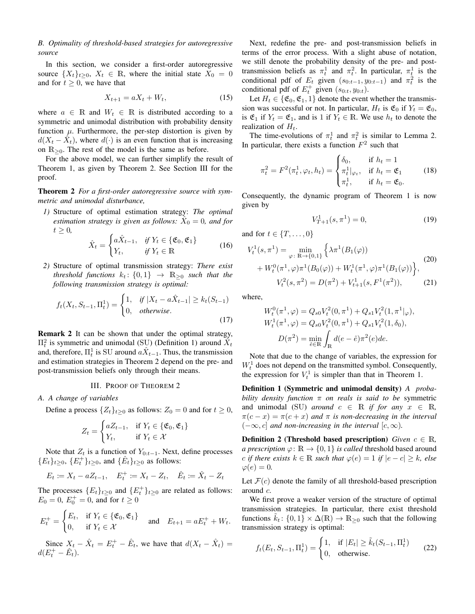# *B. Optimality of threshold-based strategies for autoregressive source*

In this section, we consider a first-order autoregressive source  $\{X_t\}_{t>0}$ ,  $X_t \in \mathbb{R}$ , where the initial state  $X_0 = 0$ and for  $t \geq 0$ , we have that

$$
X_{t+1} = aX_t + W_t,\tag{15}
$$

where  $a \in \mathbb{R}$  and  $W_t \in \mathbb{R}$  is distributed according to a symmetric and unimodal distribution with probability density function  $\mu$ . Furthermore, the per-step distortion is given by  $d(X_t - \hat{X}_t)$ , where  $d(\cdot)$  is an even function that is increasing on  $\mathbb{R}_{\geq 0}$ . The rest of the model is the same as before.

For the above model, we can further simplify the result of Theorem 1, as given by Theorem 2. See Section III for the proof.

Theorem 2 *For a first-order autoregressive source with symmetric and unimodal disturbance,*

*1)* Structure of optimal estimation strategy: *The optimal estimation strategy is given as follows:*  $\hat{X}_0 = 0$ *, and for*  $t \geq 0$ ,

$$
\hat{X}_t = \begin{cases}\na\hat{X}_{t-1}, & \text{if } Y_t \in \{\mathfrak{E}_0, \mathfrak{E}_1\} \\
Y_t, & \text{if } Y_t \in \mathbb{R}\n\end{cases}
$$
\n(16)

*2)* Structure of optimal transmission strategy: *There exist threshold functions*  $k_t$ :  $\{0,1\}$   $\rightarrow$   $\mathbb{R}_{\geq 0}$  *such that the following transmission strategy is optimal:*

$$
f_t(X_t, S_{t-1}, \Pi_t^1) = \begin{cases} 1, & \text{if } |X_t - a\hat{X}_{t-1}| \ge k_t(S_{t-1})\\ 0, & \text{otherwise.} \end{cases} \tag{17}
$$

Remark 2 It can be shown that under the optimal strategy,  $\Pi_t^2$  is symmetric and unimodal (SU) (Definition 1) around  $\hat{X}_t$ and, therefore,  $\Pi_t^1$  is SU around  $a\hat{X}_{t-1}$ . Thus, the transmission and estimation strategies in Theorem 2 depend on the pre- and post-transmission beliefs only through their means.

#### III. PROOF OF THEOREM 2

# *A. A change of variables*

Define a process  $\{Z_t\}_{t\geq 0}$  as follows:  $Z_0 = 0$  and for  $t \geq 0$ ,

$$
Z_t = \begin{cases} aZ_{t-1}, & \text{if } Y_t \in \{\mathfrak{E}_0, \mathfrak{E}_1\} \\ Y_t, & \text{if } Y_t \in \mathcal{X} \end{cases}
$$

Note that  $Z_t$  is a function of  $Y_{0:t-1}$ . Next, define processes  ${E_t}_{t\geq0}$ ,  ${E_t^+}_{t\geq0}$ , and  ${\hat{E}_t}_{t\geq0}$  as follows:

$$
E_t := X_t - aZ_{t-1}, \quad E_t^+ := X_t - Z_t, \quad \hat{E}_t := \hat{X}_t - Z_t
$$

The processes  $\{E_t\}_{t\geq 0}$  and  $\{E_t^+\}_{t\geq 0}$  are related as follows:  $E_0 = 0, E_0^+ = 0, \text{ and for } t \ge 0$ 

$$
E_t^+ = \begin{cases} E_t, & \text{if } Y_t \in \{\mathfrak{E}_0, \mathfrak{E}_1\} \\ 0, & \text{if } Y_t \in \mathcal{X} \end{cases} \quad \text{and} \quad E_{t+1} = aE_t^+ + W_t.
$$

Since  $X_t - \hat{X}_t = E_t^+ - \hat{E}_t$ , we have that  $d(X_t - \hat{X}_t) =$  $d(E_t^+ - \hat{E}_t).$ 

Next, redefine the pre- and post-transmission beliefs in terms of the error process. With a slight abuse of notation, we still denote the probability density of the pre- and posttransmission beliefs as  $\pi_t^1$  and  $\pi_t^2$ . In particular,  $\pi_t^1$  is the conditional pdf of  $E_t$  given  $(s_{0:t-1}, y_{0:t-1})$  and  $\pi_t^2$  is the conditional pdf of  $E_t^+$  given  $(s_{0:t}, y_{0:t})$ .

Let  $H_t \in \{\mathfrak{E}_0, \mathfrak{E}_1, 1\}$  denote the event whether the transmission was successful or not. In particular,  $H_t$  is  $\mathfrak{E}_0$  if  $Y_t = \mathfrak{E}_0$ , is  $\mathfrak{E}_1$  if  $Y_t = \mathfrak{E}_1$ , and is 1 if  $Y_t \in \mathbb{R}$ . We use  $h_t$  to denote the realization of  $H_t$ .

The time-evolutions of  $\pi_t^1$  and  $\pi_t^2$  is similar to Lemma 2. In particular, there exists a function  $F^2$  such that

$$
\pi_t^2 = F^2(\pi_t^1, \varphi_t, h_t) = \begin{cases} \delta_0, & \text{if } h_t = 1 \\ \pi_t^1 |_{\varphi_t}, & \text{if } h_t = \mathfrak{E}_1 \\ \pi_t^1, & \text{if } h_t = \mathfrak{E}_0. \end{cases} \tag{18}
$$

Consequently, the dynamic program of Theorem 1 is now given by

$$
V_{T+1}^1(s, \pi^1) = 0,\t\t(19)
$$

and for  $t \in \{T, \ldots, 0\}$ 

$$
V_t^1(s, \pi^1) = \min_{\varphi: \ \mathbb{R} \to \{0, 1\}} \left\{ \lambda \pi^1(B_1(\varphi)) + W_t^1(\pi^1, \varphi) \pi^1(B_0(\varphi)) + W_t^1(\pi^1, \varphi) \pi^1(B_1(\varphi)) \right\},\tag{20}
$$

$$
V_t^2(s, \pi^2) = D(\pi^2) + V_{t+1}^1(s, F^1(\pi^2)),\tag{21}
$$

where,

$$
W_t^0(\pi^1, \varphi) = Q_{s0} V_t^2(0, \pi^1) + Q_{s1} V_t^2(1, \pi^1 | \varphi),
$$
  
\n
$$
W_t^1(\pi^1, \varphi) = Q_{s0} V_t^2(0, \pi^1) + Q_{s1} V_t^2(1, \delta_0),
$$
  
\n
$$
D(\pi^2) = \min_{\hat{e} \in \mathbb{R}} \int_{\mathbb{R}} d(e - \hat{e}) \pi^2(e) de.
$$

Note that due to the change of variables, the expression for  $W_t^1$  does not depend on the transmitted symbol. Consequently, the expression for  $V_t^1$  is simpler than that in Theorem 1.

Definition 1 (Symmetric and unimodal density) *A probability density function* π *on reals is said to be* symmetric and unimodal (SU) *around*  $c \in \mathbb{R}$  *if for any*  $x \in \mathbb{R}$ ,  $\pi(c-x) = \pi(c+x)$  *and*  $\pi$  *is non-decreasing in the interval*  $(-\infty, c]$  *and non-increasing in the interval*  $[c, \infty)$ *.* 

**Definition 2** (Threshold based prescription) *Given*  $c \in \mathbb{R}$ , *a prescription*  $\varphi \colon \mathbb{R} \to \{0, 1\}$  *is called* threshold based around c *if there exists*  $k \in \mathbb{R}$  *such that*  $\varphi(e) = 1$  *if*  $|e - c| \geq k$ *, else*  $\varphi(e) = 0.$ 

Let  $\mathcal{F}(c)$  denote the family of all threshold-based prescription around c.

We first prove a weaker version of the structure of optimal transmission strategies. In particular, there exist threshold functions  $k_t$ :  $\{0,1\} \times \Delta(\mathbb{R}) \rightarrow \mathbb{R}_{\geq 0}$  such that the following transmission strategy is optimal:

$$
f_t(E_t, S_{t-1}, \Pi_t^1) = \begin{cases} 1, & \text{if } |E_t| \ge \tilde{k}_t(S_{t-1}, \Pi_t^1) \\ 0, & \text{otherwise.} \end{cases}
$$
 (22)